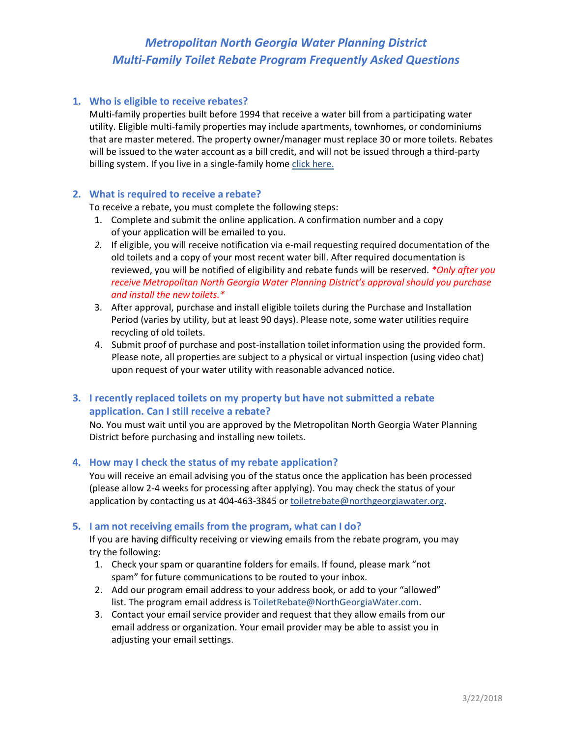# *Metropolitan North Georgia Water Planning District Multi-Family Toilet Rebate Program Frequently Asked Questions*

### **1. Who is eligible to receive rebates?**

Multi-family properties built before 1994 that receive a water bill from a participating water utility. Eligible multi-family properties may include apartments, townhomes, or condominiums that are master metered. The property owner/manager must replace 30 or more toilets. Rebates will be issued to the water account as a bill credit, and will not be issued through a third-party billing system. If you live in a single-family hom[e click here.](http://northgeorgiawater.org/conserve-our-water/toilet-rebate-program)

### **2. What is required to receive a rebate?**

To receive a rebate, you must complete the following steps:

- 1. Complete and submit the online application. A confirmation number and a copy of your application will be emailed to you.
- *2.* If eligible, you will receive notification via e-mail requesting required documentation of the old toilets and a copy of your most recent water bill. After required documentation is reviewed, you will be notified of eligibility and rebate funds will be reserved. *\*Only after you receive Metropolitan North Georgia Water Planning District's approval should you purchase and install the newtoilets.\**
- 3. After approval, purchase and install eligible toilets during the Purchase and Installation Period (varies by utility, but at least 90 days). Please note, some water utilities require recycling of old toilets.
- 4. Submit proof of purchase and post-installation toiletinformation using the provided form. Please note, all properties are subject to a physical or virtual inspection (using video chat) upon request of your water utility with reasonable advanced notice.

# **3. I recently replaced toilets on my property but have not submitted a rebate application. Can I still receive a rebate?**

No. You must wait until you are approved by the Metropolitan North Georgia Water Planning District before purchasing and installing new toilets.

### **4. How may I check the status of my rebate application?**

You will receive an email advising you of the status once the application has been processed (please allow 2-4 weeks for processing after applying). You may check the status of your application by contacting us at 404-463-3845 or [toiletrebate@northgeorgiawater.org.](mailto:toiletrebate@northgeorgiawater.org)

### **5. I am not receiving emails from the program, what can I do?**

If you are having difficulty receiving or viewing emails from the rebate program, you may try the following:

- 1. Check your spam or quarantine folders for emails. If found, please mark "not spam" for future communications to be routed to your inbox.
- 2. Add our program email address to your address book, or add to your "allowed" list. The program email address is [ToiletRebate@NorthGeorgiaWater.com.](mailto:ToiletRebate@NorthGeorgiaWater.com)
- 3. Contact your email service provider and request that they allow emails from our email address or organization. Your email provider may be able to assist you in adjusting your email settings.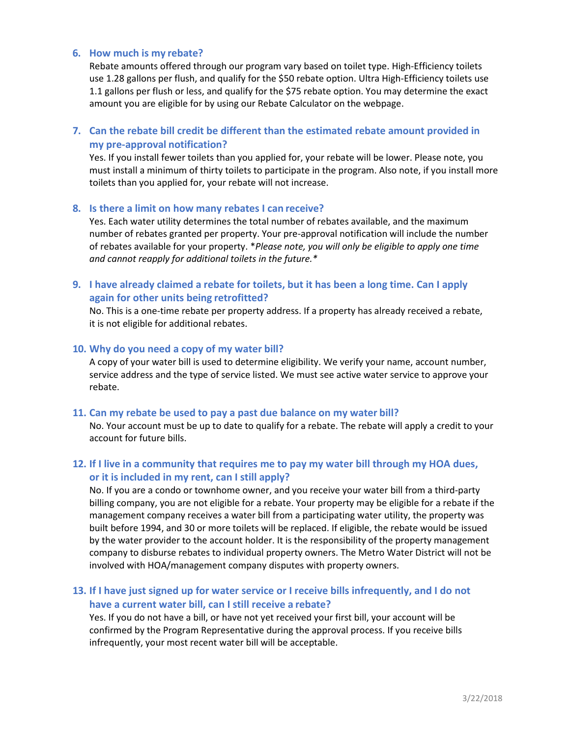### **6. How much is my rebate?**

Rebate amounts offered through our program vary based on toilet type. High-Efficiency toilets use 1.28 gallons per flush, and qualify for the \$50 rebate option. Ultra High-Efficiency toilets use 1.1 gallons per flush or less, and qualify for the \$75 rebate option. You may determine the exact amount you are eligible for by using our Rebate Calculator on the webpage.

# **7. Can the rebate bill credit be different than the estimated rebate amount provided in my pre-approval notification?**

Yes. If you install fewer toilets than you applied for, your rebate will be lower. Please note, you must install a minimum of thirty toilets to participate in the program. Also note, if you install more toilets than you applied for, your rebate will not increase.

#### **8. Is there a limit on how many rebates I can receive?**

Yes. Each water utility determines the total number of rebates available, and the maximum number of rebates granted per property. Your pre-approval notification will include the number of rebates available for your property. \**Please note, you will only be eligible to apply one time and cannot reapply for additional toilets in the future.\**

### **9. I have already claimed a rebate for toilets, but it has been a long time. Can I apply again for other units being retrofitted?**

No. This is a one-time rebate per property address. If a property has already received a rebate, it is not eligible for additional rebates.

#### **10. Why do you need a copy of my water bill?**

A copy of your water bill is used to determine eligibility. We verify your name, account number, service address and the type of service listed. We must see active water service to approve your rebate.

#### **11. Can my rebate be used to pay a past due balance on my water bill?**

No. Your account must be up to date to qualify for a rebate. The rebate will apply a credit to your account for future bills.

# **12. If I live in a community that requires me to pay my water bill through my HOA dues, or it is included in my rent, can I still apply?**

No. If you are a condo or townhome owner, and you receive your water bill from a third-party billing company, you are not eligible for a rebate. Your property may be eligible for a rebate if the management company receives a water bill from a participating water utility, the property was built before 1994, and 30 or more toilets will be replaced. If eligible, the rebate would be issued by the water provider to the account holder. It is the responsibility of the property management company to disburse rebates to individual property owners. The Metro Water District will not be involved with HOA/management company disputes with property owners.

### **13. If I have just signed up for water service or I receive bills infrequently, and I do not have a current water bill, can I still receive a rebate?**

Yes. If you do not have a bill, or have not yet received your first bill, your account will be confirmed by the Program Representative during the approval process. If you receive bills infrequently, your most recent water bill will be acceptable.